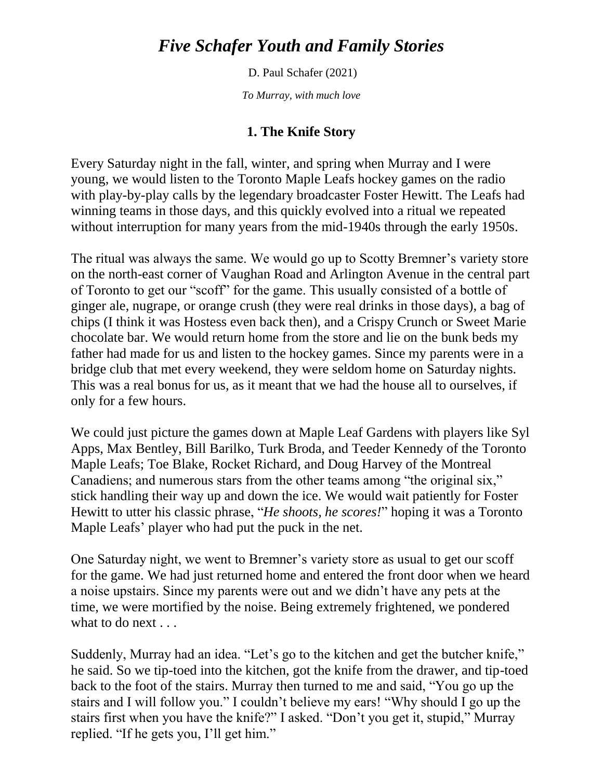# *Five Schafer Youth and Family Stories*

D. Paul Schafer (2021)

*To Murray, with much love*

## **1. The Knife Story**

Every Saturday night in the fall, winter, and spring when Murray and I were young, we would listen to the Toronto Maple Leafs hockey games on the radio with play-by-play calls by the legendary broadcaster Foster Hewitt. The Leafs had winning teams in those days, and this quickly evolved into a ritual we repeated without interruption for many years from the mid-1940s through the early 1950s.

The ritual was always the same. We would go up to Scotty Bremner's variety store on the north-east corner of Vaughan Road and Arlington Avenue in the central part of Toronto to get our "scoff" for the game. This usually consisted of a bottle of ginger ale, nugrape, or orange crush (they were real drinks in those days), a bag of chips (I think it was Hostess even back then), and a Crispy Crunch or Sweet Marie chocolate bar. We would return home from the store and lie on the bunk beds my father had made for us and listen to the hockey games. Since my parents were in a bridge club that met every weekend, they were seldom home on Saturday nights. This was a real bonus for us, as it meant that we had the house all to ourselves, if only for a few hours.

We could just picture the games down at Maple Leaf Gardens with players like Syl Apps, Max Bentley, Bill Barilko, Turk Broda, and Teeder Kennedy of the Toronto Maple Leafs; Toe Blake, Rocket Richard, and Doug Harvey of the Montreal Canadiens; and numerous stars from the other teams among "the original six," stick handling their way up and down the ice. We would wait patiently for Foster Hewitt to utter his classic phrase, "*He shoots, he scores!*" hoping it was a Toronto Maple Leafs' player who had put the puck in the net.

One Saturday night, we went to Bremner's variety store as usual to get our scoff for the game. We had just returned home and entered the front door when we heard a noise upstairs. Since my parents were out and we didn't have any pets at the time, we were mortified by the noise. Being extremely frightened, we pondered what to do next . . .

Suddenly, Murray had an idea. "Let's go to the kitchen and get the butcher knife," he said. So we tip-toed into the kitchen, got the knife from the drawer, and tip-toed back to the foot of the stairs. Murray then turned to me and said, "You go up the stairs and I will follow you." I couldn't believe my ears! "Why should I go up the stairs first when you have the knife?" I asked. "Don't you get it, stupid," Murray replied. "If he gets you, I'll get him."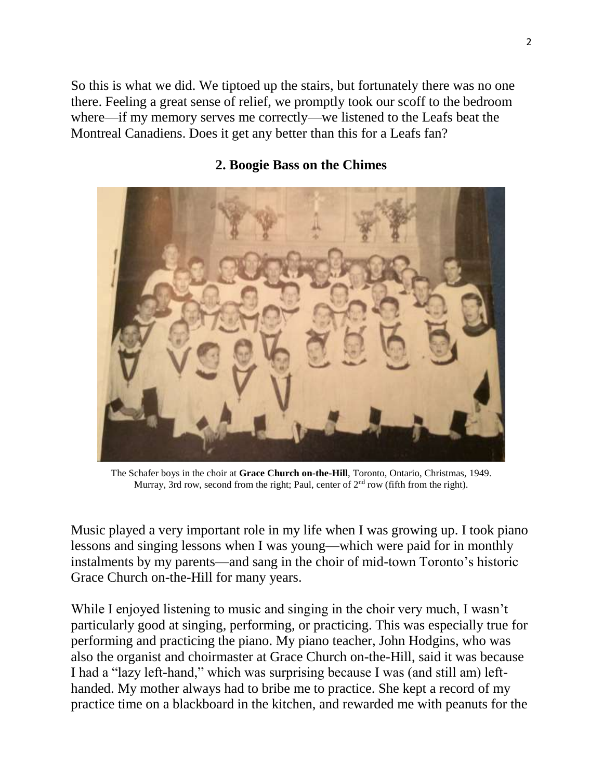So this is what we did. We tiptoed up the stairs, but fortunately there was no one there. Feeling a great sense of relief, we promptly took our scoff to the bedroom where—if my memory serves me correctly—we listened to the Leafs beat the Montreal Canadiens. Does it get any better than this for a Leafs fan?

### **2. Boogie Bass on the Chimes**



The Schafer boys in the choir at **Grace Church on-the-Hill**, Toronto, Ontario, Christmas, 1949. Murray, 3rd row, second from the right; Paul, center of  $2<sup>nd</sup>$  row (fifth from the right).

Music played a very important role in my life when I was growing up. I took piano lessons and singing lessons when I was young—which were paid for in monthly instalments by my parents—and sang in the choir of mid-town Toronto's historic Grace Church on-the-Hill for many years.

While I enjoyed listening to music and singing in the choir very much, I wasn't particularly good at singing, performing, or practicing. This was especially true for performing and practicing the piano. My piano teacher, John Hodgins, who was also the organist and choirmaster at Grace Church on-the-Hill, said it was because I had a "lazy left-hand," which was surprising because I was (and still am) lefthanded. My mother always had to bribe me to practice. She kept a record of my practice time on a blackboard in the kitchen, and rewarded me with peanuts for the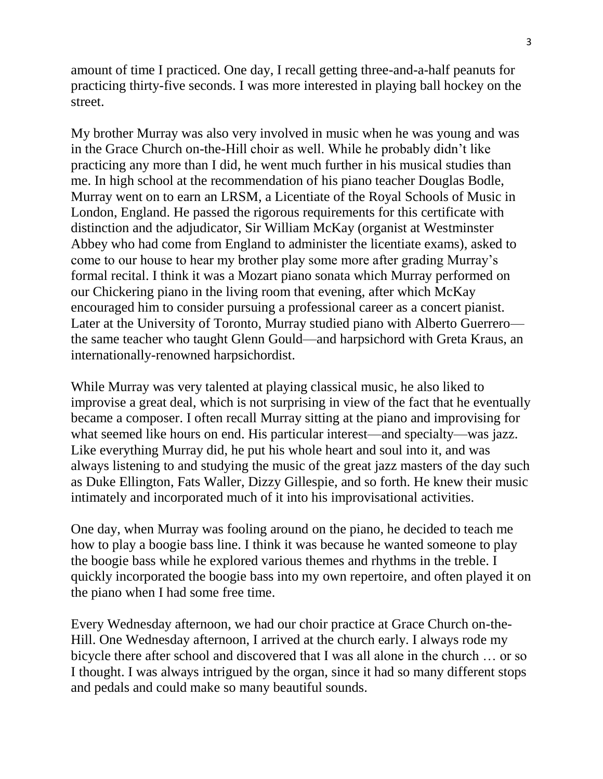amount of time I practiced. One day, I recall getting three-and-a-half peanuts for practicing thirty-five seconds. I was more interested in playing ball hockey on the street.

My brother Murray was also very involved in music when he was young and was in the Grace Church on-the-Hill choir as well. While he probably didn't like practicing any more than I did, he went much further in his musical studies than me. In high school at the recommendation of his piano teacher Douglas Bodle, Murray went on to earn an LRSM, a Licentiate of the Royal Schools of Music in London, England. He passed the rigorous requirements for this certificate with distinction and the adjudicator, Sir William McKay (organist at Westminster Abbey who had come from England to administer the licentiate exams), asked to come to our house to hear my brother play some more after grading Murray's formal recital. I think it was a Mozart piano sonata which Murray performed on our Chickering piano in the living room that evening, after which McKay encouraged him to consider pursuing a professional career as a concert pianist. Later at the University of Toronto, Murray studied piano with Alberto Guerrero the same teacher who taught Glenn Gould—and harpsichord with Greta Kraus, an internationally-renowned harpsichordist.

While Murray was very talented at playing classical music, he also liked to improvise a great deal, which is not surprising in view of the fact that he eventually became a composer. I often recall Murray sitting at the piano and improvising for what seemed like hours on end. His particular interest—and specialty—was jazz. Like everything Murray did, he put his whole heart and soul into it, and was always listening to and studying the music of the great jazz masters of the day such as Duke Ellington, Fats Waller, Dizzy Gillespie, and so forth. He knew their music intimately and incorporated much of it into his improvisational activities.

One day, when Murray was fooling around on the piano, he decided to teach me how to play a boogie bass line. I think it was because he wanted someone to play the boogie bass while he explored various themes and rhythms in the treble. I quickly incorporated the boogie bass into my own repertoire, and often played it on the piano when I had some free time.

Every Wednesday afternoon, we had our choir practice at Grace Church on-the-Hill. One Wednesday afternoon, I arrived at the church early. I always rode my bicycle there after school and discovered that I was all alone in the church … or so I thought. I was always intrigued by the organ, since it had so many different stops and pedals and could make so many beautiful sounds.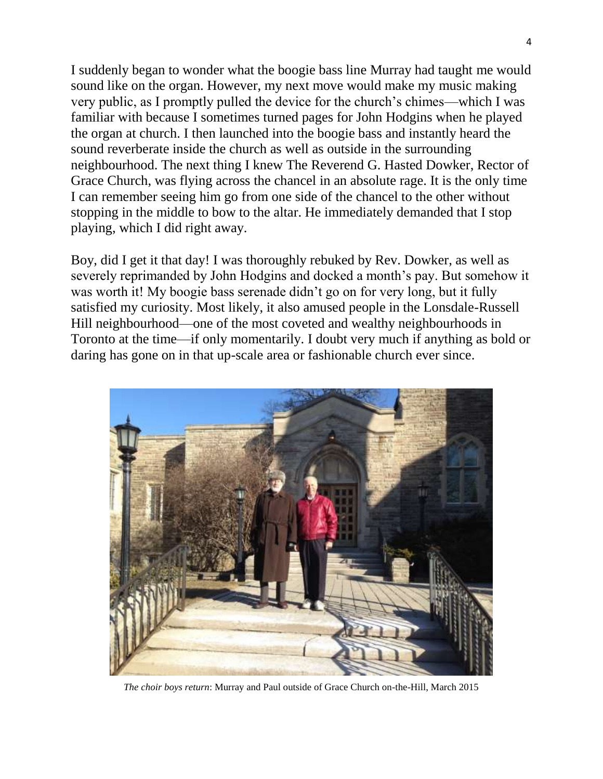I suddenly began to wonder what the boogie bass line Murray had taught me would sound like on the organ. However, my next move would make my music making very public, as I promptly pulled the device for the church's chimes—which I was familiar with because I sometimes turned pages for John Hodgins when he played the organ at church. I then launched into the boogie bass and instantly heard the sound reverberate inside the church as well as outside in the surrounding neighbourhood. The next thing I knew The Reverend G. Hasted Dowker, Rector of Grace Church, was flying across the chancel in an absolute rage. It is the only time I can remember seeing him go from one side of the chancel to the other without stopping in the middle to bow to the altar. He immediately demanded that I stop playing, which I did right away.

Boy, did I get it that day! I was thoroughly rebuked by Rev. Dowker, as well as severely reprimanded by John Hodgins and docked a month's pay. But somehow it was worth it! My boogie bass serenade didn't go on for very long, but it fully satisfied my curiosity. Most likely, it also amused people in the Lonsdale-Russell Hill neighbourhood—one of the most coveted and wealthy neighbourhoods in Toronto at the time—if only momentarily. I doubt very much if anything as bold or daring has gone on in that up-scale area or fashionable church ever since.



*The choir boys return*: Murray and Paul outside of Grace Church on-the-Hill, March 2015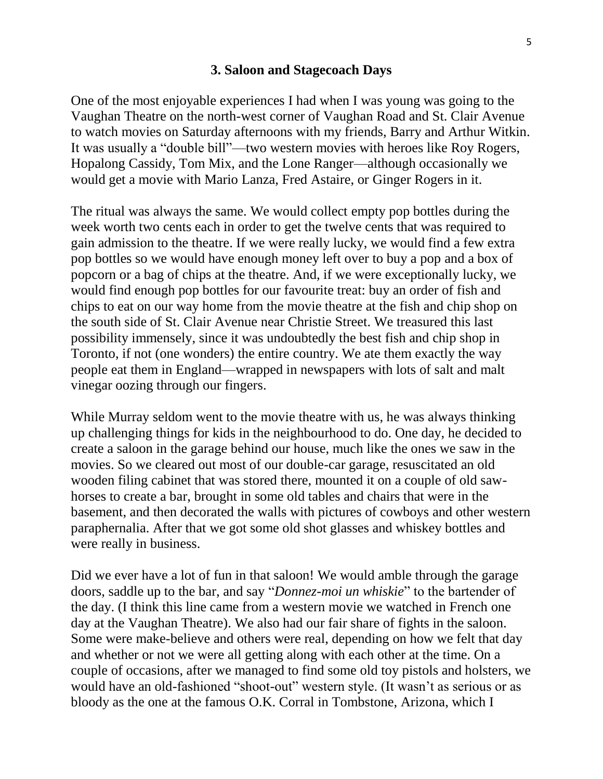#### **3. Saloon and Stagecoach Days**

One of the most enjoyable experiences I had when I was young was going to the Vaughan Theatre on the north-west corner of Vaughan Road and St. Clair Avenue to watch movies on Saturday afternoons with my friends, Barry and Arthur Witkin. It was usually a "double bill"—two western movies with heroes like Roy Rogers, Hopalong Cassidy, Tom Mix, and the Lone Ranger—although occasionally we would get a movie with Mario Lanza, Fred Astaire, or Ginger Rogers in it.

The ritual was always the same. We would collect empty pop bottles during the week worth two cents each in order to get the twelve cents that was required to gain admission to the theatre. If we were really lucky, we would find a few extra pop bottles so we would have enough money left over to buy a pop and a box of popcorn or a bag of chips at the theatre. And, if we were exceptionally lucky, we would find enough pop bottles for our favourite treat: buy an order of fish and chips to eat on our way home from the movie theatre at the fish and chip shop on the south side of St. Clair Avenue near Christie Street. We treasured this last possibility immensely, since it was undoubtedly the best fish and chip shop in Toronto, if not (one wonders) the entire country. We ate them exactly the way people eat them in England—wrapped in newspapers with lots of salt and malt vinegar oozing through our fingers.

While Murray seldom went to the movie theatre with us, he was always thinking up challenging things for kids in the neighbourhood to do. One day, he decided to create a saloon in the garage behind our house, much like the ones we saw in the movies. So we cleared out most of our double-car garage, resuscitated an old wooden filing cabinet that was stored there, mounted it on a couple of old sawhorses to create a bar, brought in some old tables and chairs that were in the basement, and then decorated the walls with pictures of cowboys and other western paraphernalia. After that we got some old shot glasses and whiskey bottles and were really in business.

Did we ever have a lot of fun in that saloon! We would amble through the garage doors, saddle up to the bar, and say "*Donnez-moi un whiskie*" to the bartender of the day. (I think this line came from a western movie we watched in French one day at the Vaughan Theatre). We also had our fair share of fights in the saloon. Some were make-believe and others were real, depending on how we felt that day and whether or not we were all getting along with each other at the time. On a couple of occasions, after we managed to find some old toy pistols and holsters, we would have an old-fashioned "shoot-out" western style. (It wasn't as serious or as bloody as the one at the famous O.K. Corral in Tombstone, Arizona, which I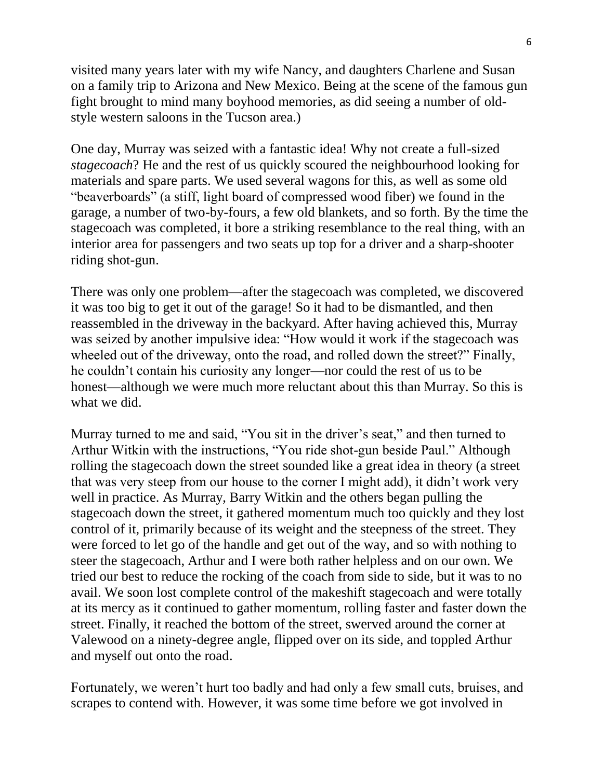visited many years later with my wife Nancy, and daughters Charlene and Susan on a family trip to Arizona and New Mexico. Being at the scene of the famous gun fight brought to mind many boyhood memories, as did seeing a number of oldstyle western saloons in the Tucson area.)

One day, Murray was seized with a fantastic idea! Why not create a full-sized *stagecoach*? He and the rest of us quickly scoured the neighbourhood looking for materials and spare parts. We used several wagons for this, as well as some old "beaverboards" (a stiff, light board of compressed wood fiber) we found in the garage, a number of two-by-fours, a few old blankets, and so forth. By the time the stagecoach was completed, it bore a striking resemblance to the real thing, with an interior area for passengers and two seats up top for a driver and a sharp-shooter riding shot-gun.

There was only one problem—after the stagecoach was completed, we discovered it was too big to get it out of the garage! So it had to be dismantled, and then reassembled in the driveway in the backyard. After having achieved this, Murray was seized by another impulsive idea: "How would it work if the stagecoach was wheeled out of the driveway, onto the road, and rolled down the street?" Finally, he couldn't contain his curiosity any longer—nor could the rest of us to be honest—although we were much more reluctant about this than Murray. So this is what we did.

Murray turned to me and said, "You sit in the driver's seat," and then turned to Arthur Witkin with the instructions, "You ride shot-gun beside Paul." Although rolling the stagecoach down the street sounded like a great idea in theory (a street that was very steep from our house to the corner I might add), it didn't work very well in practice. As Murray, Barry Witkin and the others began pulling the stagecoach down the street, it gathered momentum much too quickly and they lost control of it, primarily because of its weight and the steepness of the street. They were forced to let go of the handle and get out of the way, and so with nothing to steer the stagecoach, Arthur and I were both rather helpless and on our own. We tried our best to reduce the rocking of the coach from side to side, but it was to no avail. We soon lost complete control of the makeshift stagecoach and were totally at its mercy as it continued to gather momentum, rolling faster and faster down the street. Finally, it reached the bottom of the street, swerved around the corner at Valewood on a ninety-degree angle, flipped over on its side, and toppled Arthur and myself out onto the road.

Fortunately, we weren't hurt too badly and had only a few small cuts, bruises, and scrapes to contend with. However, it was some time before we got involved in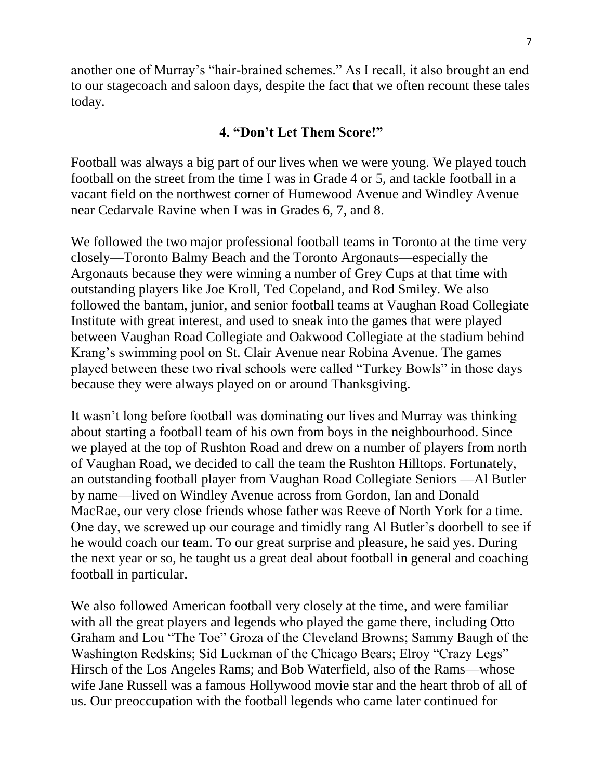another one of Murray's "hair-brained schemes." As I recall, it also brought an end to our stagecoach and saloon days, despite the fact that we often recount these tales today.

## **4. "Don't Let Them Score!"**

Football was always a big part of our lives when we were young. We played touch football on the street from the time I was in Grade 4 or 5, and tackle football in a vacant field on the northwest corner of Humewood Avenue and Windley Avenue near Cedarvale Ravine when I was in Grades 6, 7, and 8.

We followed the two major professional football teams in Toronto at the time very closely—Toronto Balmy Beach and the Toronto Argonauts—especially the Argonauts because they were winning a number of Grey Cups at that time with outstanding players like Joe Kroll, Ted Copeland, and Rod Smiley. We also followed the bantam, junior, and senior football teams at Vaughan Road Collegiate Institute with great interest, and used to sneak into the games that were played between Vaughan Road Collegiate and Oakwood Collegiate at the stadium behind Krang's swimming pool on St. Clair Avenue near Robina Avenue. The games played between these two rival schools were called "Turkey Bowls" in those days because they were always played on or around Thanksgiving.

It wasn't long before football was dominating our lives and Murray was thinking about starting a football team of his own from boys in the neighbourhood. Since we played at the top of Rushton Road and drew on a number of players from north of Vaughan Road, we decided to call the team the Rushton Hilltops. Fortunately, an outstanding football player from Vaughan Road Collegiate Seniors —Al Butler by name—lived on Windley Avenue across from Gordon, Ian and Donald MacRae, our very close friends whose father was Reeve of North York for a time. One day, we screwed up our courage and timidly rang Al Butler's doorbell to see if he would coach our team. To our great surprise and pleasure, he said yes. During the next year or so, he taught us a great deal about football in general and coaching football in particular.

We also followed American football very closely at the time, and were familiar with all the great players and legends who played the game there, including Otto Graham and Lou "The Toe" Groza of the Cleveland Browns; Sammy Baugh of the Washington Redskins; Sid Luckman of the Chicago Bears; Elroy "Crazy Legs" Hirsch of the Los Angeles Rams; and Bob Waterfield, also of the Rams—whose wife Jane Russell was a famous Hollywood movie star and the heart throb of all of us. Our preoccupation with the football legends who came later continued for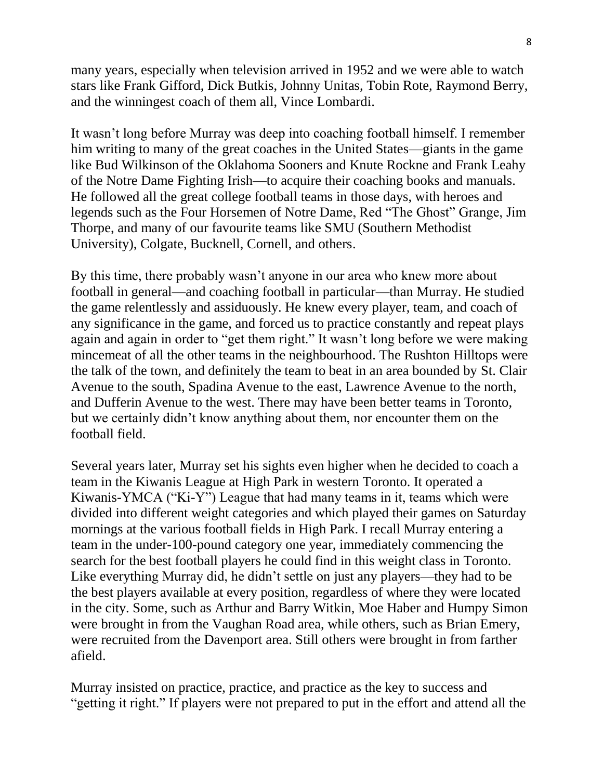many years, especially when television arrived in 1952 and we were able to watch stars like Frank Gifford, Dick Butkis, Johnny Unitas, Tobin Rote, Raymond Berry, and the winningest coach of them all, Vince Lombardi.

It wasn't long before Murray was deep into coaching football himself. I remember him writing to many of the great coaches in the United States—giants in the game like Bud Wilkinson of the Oklahoma Sooners and Knute Rockne and Frank Leahy of the Notre Dame Fighting Irish—to acquire their coaching books and manuals. He followed all the great college football teams in those days, with heroes and legends such as the Four Horsemen of Notre Dame, Red "The Ghost" Grange, Jim Thorpe, and many of our favourite teams like SMU (Southern Methodist University), Colgate, Bucknell, Cornell, and others.

By this time, there probably wasn't anyone in our area who knew more about football in general—and coaching football in particular—than Murray. He studied the game relentlessly and assiduously. He knew every player, team, and coach of any significance in the game, and forced us to practice constantly and repeat plays again and again in order to "get them right." It wasn't long before we were making mincemeat of all the other teams in the neighbourhood. The Rushton Hilltops were the talk of the town, and definitely the team to beat in an area bounded by St. Clair Avenue to the south, Spadina Avenue to the east, Lawrence Avenue to the north, and Dufferin Avenue to the west. There may have been better teams in Toronto, but we certainly didn't know anything about them, nor encounter them on the football field.

Several years later, Murray set his sights even higher when he decided to coach a team in the Kiwanis League at High Park in western Toronto. It operated a Kiwanis-YMCA ("Ki-Y") League that had many teams in it, teams which were divided into different weight categories and which played their games on Saturday mornings at the various football fields in High Park. I recall Murray entering a team in the under-100-pound category one year, immediately commencing the search for the best football players he could find in this weight class in Toronto. Like everything Murray did, he didn't settle on just any players—they had to be the best players available at every position, regardless of where they were located in the city. Some, such as Arthur and Barry Witkin, Moe Haber and Humpy Simon were brought in from the Vaughan Road area, while others, such as Brian Emery, were recruited from the Davenport area. Still others were brought in from farther afield.

Murray insisted on practice, practice, and practice as the key to success and "getting it right." If players were not prepared to put in the effort and attend all the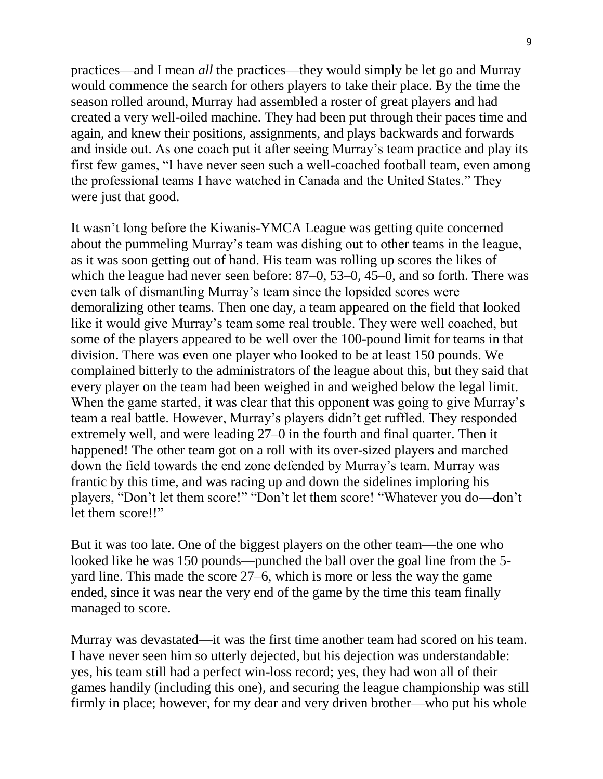practices—and I mean *all* the practices—they would simply be let go and Murray would commence the search for others players to take their place. By the time the season rolled around, Murray had assembled a roster of great players and had created a very well-oiled machine. They had been put through their paces time and again, and knew their positions, assignments, and plays backwards and forwards and inside out. As one coach put it after seeing Murray's team practice and play its first few games, "I have never seen such a well-coached football team, even among the professional teams I have watched in Canada and the United States." They were just that good.

It wasn't long before the Kiwanis-YMCA League was getting quite concerned about the pummeling Murray's team was dishing out to other teams in the league, as it was soon getting out of hand. His team was rolling up scores the likes of which the league had never seen before: 87–0, 53–0, 45–0, and so forth. There was even talk of dismantling Murray's team since the lopsided scores were demoralizing other teams. Then one day, a team appeared on the field that looked like it would give Murray's team some real trouble. They were well coached, but some of the players appeared to be well over the 100-pound limit for teams in that division. There was even one player who looked to be at least 150 pounds. We complained bitterly to the administrators of the league about this, but they said that every player on the team had been weighed in and weighed below the legal limit. When the game started, it was clear that this opponent was going to give Murray's team a real battle. However, Murray's players didn't get ruffled. They responded extremely well, and were leading 27–0 in the fourth and final quarter. Then it happened! The other team got on a roll with its over-sized players and marched down the field towards the end zone defended by Murray's team. Murray was frantic by this time, and was racing up and down the sidelines imploring his players, "Don't let them score!" "Don't let them score! "Whatever you do—don't let them score!!"

But it was too late. One of the biggest players on the other team—the one who looked like he was 150 pounds—punched the ball over the goal line from the 5 yard line. This made the score 27–6, which is more or less the way the game ended, since it was near the very end of the game by the time this team finally managed to score.

Murray was devastated—it was the first time another team had scored on his team. I have never seen him so utterly dejected, but his dejection was understandable: yes, his team still had a perfect win-loss record; yes, they had won all of their games handily (including this one), and securing the league championship was still firmly in place; however, for my dear and very driven brother—who put his whole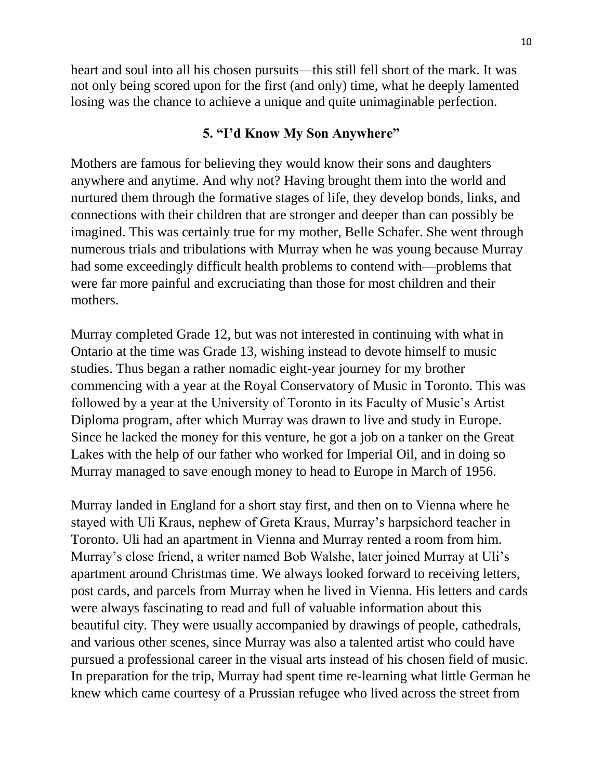heart and soul into all his chosen pursuits—this still fell short of the mark. It was not only being scored upon for the first (and only) time, what he deeply lamented losing was the chance to achieve a unique and quite unimaginable perfection.

## **5. "I'd Know My Son Anywhere"**

Mothers are famous for believing they would know their sons and daughters anywhere and anytime. And why not? Having brought them into the world and nurtured them through the formative stages of life, they develop bonds, links, and connections with their children that are stronger and deeper than can possibly be imagined. This was certainly true for my mother, Belle Schafer. She went through numerous trials and tribulations with Murray when he was young because Murray had some exceedingly difficult health problems to contend with—problems that were far more painful and excruciating than those for most children and their mothers.

Murray completed Grade 12, but was not interested in continuing with what in Ontario at the time was Grade 13, wishing instead to devote himself to music studies. Thus began a rather nomadic eight-year journey for my brother commencing with a year at the Royal Conservatory of Music in Toronto. This was followed by a year at the University of Toronto in its Faculty of Music's Artist Diploma program, after which Murray was drawn to live and study in Europe. Since he lacked the money for this venture, he got a job on a tanker on the Great Lakes with the help of our father who worked for Imperial Oil, and in doing so Murray managed to save enough money to head to Europe in March of 1956.

Murray landed in England for a short stay first, and then on to Vienna where he stayed with Uli Kraus, nephew of Greta Kraus, Murray's harpsichord teacher in Toronto. Uli had an apartment in Vienna and Murray rented a room from him. Murray's close friend, a writer named Bob Walshe, later joined Murray at Uli's apartment around Christmas time. We always looked forward to receiving letters, post cards, and parcels from Murray when he lived in Vienna. His letters and cards were always fascinating to read and full of valuable information about this beautiful city. They were usually accompanied by drawings of people, cathedrals, and various other scenes, since Murray was also a talented artist who could have pursued a professional career in the visual arts instead of his chosen field of music. In preparation for the trip, Murray had spent time re-learning what little German he knew which came courtesy of a Prussian refugee who lived across the street from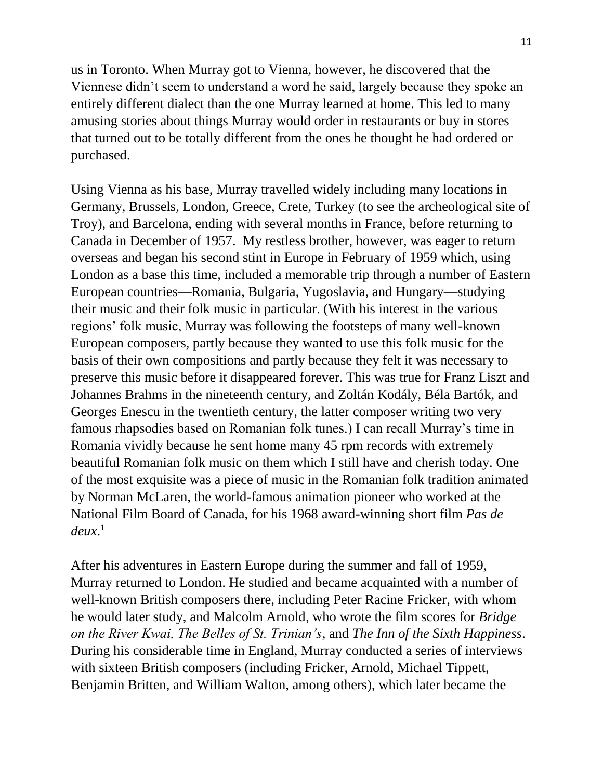us in Toronto. When Murray got to Vienna, however, he discovered that the Viennese didn't seem to understand a word he said, largely because they spoke an entirely different dialect than the one Murray learned at home. This led to many amusing stories about things Murray would order in restaurants or buy in stores that turned out to be totally different from the ones he thought he had ordered or purchased.

Using Vienna as his base, Murray travelled widely including many locations in Germany, Brussels, London, Greece, Crete, Turkey (to see the archeological site of Troy), and Barcelona, ending with several months in France, before returning to Canada in December of 1957. My restless brother, however, was eager to return overseas and began his second stint in Europe in February of 1959 which, using London as a base this time, included a memorable trip through a number of Eastern European countries—Romania, Bulgaria, Yugoslavia, and Hungary—studying their music and their folk music in particular. (With his interest in the various regions' folk music, Murray was following the footsteps of many well-known European composers, partly because they wanted to use this folk music for the basis of their own compositions and partly because they felt it was necessary to preserve this music before it disappeared forever. This was true for Franz Liszt and Johannes Brahms in the nineteenth century, and Zoltán Kodály, Béla Bartók, and Georges Enescu in the twentieth century, the latter composer writing two very famous rhapsodies based on Romanian folk tunes.) I can recall Murray's time in Romania vividly because he sent home many 45 rpm records with extremely beautiful Romanian folk music on them which I still have and cherish today. One of the most exquisite was a piece of music in the Romanian folk tradition animated by Norman McLaren, the world-famous animation pioneer who worked at the National Film Board of Canada, for his 1968 award-winning short film *Pas de deux*. 1

After his adventures in Eastern Europe during the summer and fall of 1959, Murray returned to London. He studied and became acquainted with a number of well-known British composers there, including Peter Racine Fricker, with whom he would later study, and Malcolm Arnold, who wrote the film scores for *Bridge on the River Kwai, The Belles of St. Trinian's*, and *The Inn of the Sixth Happiness*. During his considerable time in England, Murray conducted a series of interviews with sixteen British composers (including Fricker, Arnold, Michael Tippett, Benjamin Britten, and William Walton, among others), which later became the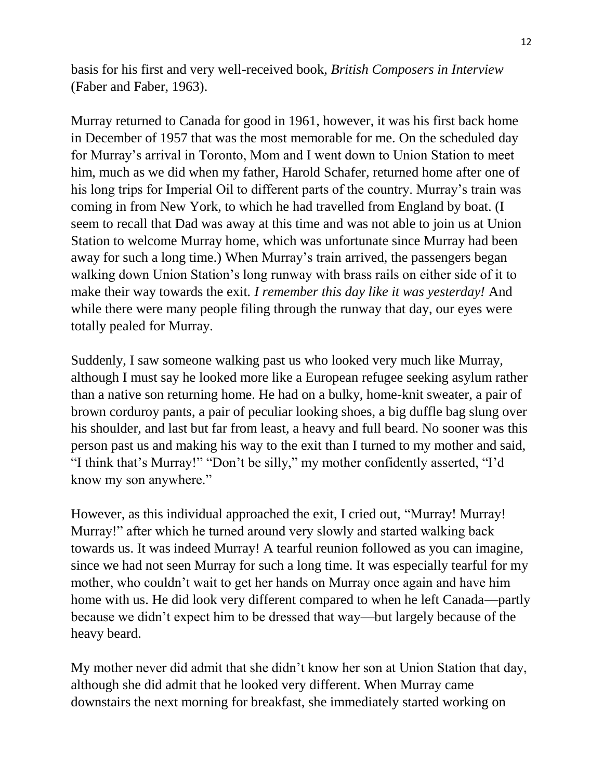basis for his first and very well-received book, *British Composers in Interview* (Faber and Faber, 1963).

Murray returned to Canada for good in 1961, however, it was his first back home in December of 1957 that was the most memorable for me. On the scheduled day for Murray's arrival in Toronto, Mom and I went down to Union Station to meet him, much as we did when my father, Harold Schafer, returned home after one of his long trips for Imperial Oil to different parts of the country. Murray's train was coming in from New York, to which he had travelled from England by boat. (I seem to recall that Dad was away at this time and was not able to join us at Union Station to welcome Murray home, which was unfortunate since Murray had been away for such a long time.) When Murray's train arrived, the passengers began walking down Union Station's long runway with brass rails on either side of it to make their way towards the exit*. I remember this day like it was yesterday!* And while there were many people filing through the runway that day, our eyes were totally pealed for Murray.

Suddenly, I saw someone walking past us who looked very much like Murray, although I must say he looked more like a European refugee seeking asylum rather than a native son returning home. He had on a bulky, home-knit sweater, a pair of brown corduroy pants, a pair of peculiar looking shoes, a big duffle bag slung over his shoulder, and last but far from least, a heavy and full beard. No sooner was this person past us and making his way to the exit than I turned to my mother and said, "I think that's Murray!" "Don't be silly," my mother confidently asserted, "I'd know my son anywhere."

However, as this individual approached the exit, I cried out, "Murray! Murray! Murray!" after which he turned around very slowly and started walking back towards us. It was indeed Murray! A tearful reunion followed as you can imagine, since we had not seen Murray for such a long time. It was especially tearful for my mother, who couldn't wait to get her hands on Murray once again and have him home with us. He did look very different compared to when he left Canada—partly because we didn't expect him to be dressed that way—but largely because of the heavy beard.

My mother never did admit that she didn't know her son at Union Station that day, although she did admit that he looked very different. When Murray came downstairs the next morning for breakfast, she immediately started working on